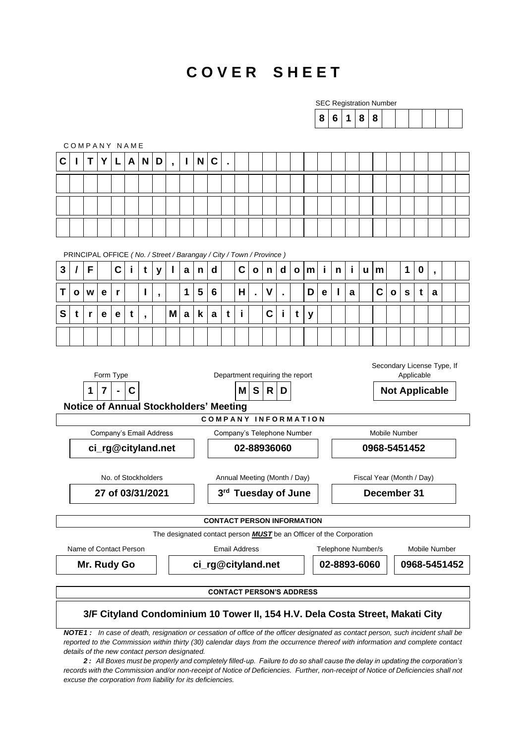#### **C O V E R S H E E T**

| COMPANY NAME<br>C<br>Τ<br>F<br>3<br>I<br>Τ<br>W<br>O<br>S<br>t<br>r                                                             | Y | L                                                                     | A | N                        | D                        | $\overline{\phantom{a}}$ | п |              |                                     |                                      |                                   |                |   |                |              |   | 8  | 6 | $\mathbf 1$ | 8 | 8                         |   |   |             |                          |  |
|---------------------------------------------------------------------------------------------------------------------------------|---|-----------------------------------------------------------------------|---|--------------------------|--------------------------|--------------------------|---|--------------|-------------------------------------|--------------------------------------|-----------------------------------|----------------|---|----------------|--------------|---|----|---|-------------|---|---------------------------|---|---|-------------|--------------------------|--|
|                                                                                                                                 |   |                                                                       |   |                          |                          |                          |   |              |                                     |                                      |                                   |                |   |                |              |   |    |   |             |   |                           |   |   |             |                          |  |
|                                                                                                                                 |   |                                                                       |   |                          |                          |                          |   |              |                                     |                                      |                                   |                |   |                |              |   |    |   |             |   |                           |   |   |             |                          |  |
|                                                                                                                                 |   |                                                                       |   |                          |                          |                          |   | N            | C                                   | ä,                                   |                                   |                |   |                |              |   |    |   |             |   |                           |   |   |             |                          |  |
|                                                                                                                                 |   |                                                                       |   |                          |                          |                          |   |              |                                     |                                      |                                   |                |   |                |              |   |    |   |             |   |                           |   |   |             |                          |  |
|                                                                                                                                 |   |                                                                       |   |                          |                          |                          |   |              |                                     |                                      |                                   |                |   |                |              |   |    |   |             |   |                           |   |   |             |                          |  |
|                                                                                                                                 |   |                                                                       |   |                          |                          |                          |   |              |                                     |                                      |                                   |                |   |                |              |   |    |   |             |   |                           |   |   |             |                          |  |
|                                                                                                                                 |   |                                                                       |   |                          |                          |                          |   |              |                                     |                                      |                                   |                |   |                |              |   |    |   |             |   |                           |   |   |             |                          |  |
|                                                                                                                                 |   | PRINCIPAL OFFICE ( No. / Street / Barangay / City / Town / Province ) |   |                          |                          |                          |   |              |                                     |                                      |                                   |                |   |                |              |   |    |   |             |   |                           |   |   |             |                          |  |
|                                                                                                                                 |   | $\mathbf C$                                                           |   | t                        | y                        | I                        | a | $\mathsf{n}$ | $\mathbf d$                         |                                      | C                                 | $\mathbf{o}$   | n | d              | $\mathbf{o}$ | m | j. | n | i           | u | m                         |   | 1 | $\mathbf 0$ | $\overline{\phantom{a}}$ |  |
|                                                                                                                                 |   |                                                                       |   | I                        |                          |                          | 1 | 5            | 6                                   |                                      | Н                                 |                | V |                |              | D |    |   |             |   | C                         |   |   |             |                          |  |
|                                                                                                                                 | е | r                                                                     |   |                          | $\overline{\phantom{a}}$ |                          |   |              |                                     |                                      |                                   | $\blacksquare$ |   | $\blacksquare$ |              |   | е  |   | a           |   |                           | O | s | t           | a                        |  |
|                                                                                                                                 | е | е                                                                     | t | $\overline{\phantom{a}}$ |                          | M                        | a | k            | a                                   | t                                    | i                                 |                | C | i              | t            | y |    |   |             |   |                           |   |   |             |                          |  |
|                                                                                                                                 |   |                                                                       |   |                          |                          |                          |   |              |                                     |                                      |                                   |                |   |                |              |   |    |   |             |   |                           |   |   |             |                          |  |
| Secondary License Type, If<br>Applicable                                                                                        |   |                                                                       |   |                          |                          |                          |   |              |                                     |                                      |                                   |                |   |                |              |   |    |   |             |   |                           |   |   |             |                          |  |
| Form Type<br>Department requiring the report<br>C<br>S<br>$\overline{7}$<br>R<br><b>Not Applicable</b><br>$\mathbf 1$<br>D<br>м |   |                                                                       |   |                          |                          |                          |   |              |                                     |                                      |                                   |                |   |                |              |   |    |   |             |   |                           |   |   |             |                          |  |
| <b>Notice of Annual Stockholders' Meeting</b>                                                                                   |   |                                                                       |   |                          |                          |                          |   |              |                                     |                                      |                                   |                |   |                |              |   |    |   |             |   |                           |   |   |             |                          |  |
|                                                                                                                                 |   |                                                                       |   |                          |                          |                          |   |              |                                     |                                      | <b>COMPANY INFORMATION</b>        |                |   |                |              |   |    |   |             |   |                           |   |   |             |                          |  |
| Company's Email Address<br>Company's Telephone Number<br>ci_rg@cityland.net<br>02-88936060                                      |   |                                                                       |   |                          |                          |                          |   |              |                                     | <b>Mobile Number</b><br>0968-5451452 |                                   |                |   |                |              |   |    |   |             |   |                           |   |   |             |                          |  |
|                                                                                                                                 |   |                                                                       |   |                          |                          |                          |   |              |                                     |                                      |                                   |                |   |                |              |   |    |   |             |   |                           |   |   |             |                          |  |
|                                                                                                                                 |   | No. of Stockholders                                                   |   |                          |                          |                          |   |              |                                     |                                      | Annual Meeting (Month / Day)      |                |   |                |              |   |    |   |             |   | Fiscal Year (Month / Day) |   |   |             |                          |  |
| 3rd Tuesday of June<br>27 of 03/31/2021                                                                                         |   |                                                                       |   |                          |                          |                          |   |              |                                     | December 31                          |                                   |                |   |                |              |   |    |   |             |   |                           |   |   |             |                          |  |
|                                                                                                                                 |   |                                                                       |   |                          |                          |                          |   |              |                                     |                                      | <b>CONTACT PERSON INFORMATION</b> |                |   |                |              |   |    |   |             |   |                           |   |   |             |                          |  |
|                                                                                                                                 |   |                                                                       |   |                          |                          |                          |   |              |                                     |                                      |                                   |                |   |                |              |   |    |   |             |   |                           |   |   |             |                          |  |
| The designated contact person <b>MUST</b> be an Officer of the Corporation<br>Name of Contact Person<br><b>Email Address</b>    |   |                                                                       |   |                          |                          |                          |   |              | Telephone Number/s<br>Mobile Number |                                      |                                   |                |   |                |              |   |    |   |             |   |                           |   |   |             |                          |  |
| Mr. Rudy Go<br>ci_rg@cityland.net                                                                                               |   |                                                                       |   |                          |                          |                          |   |              |                                     | 02-8893-6060<br>0968-5451452         |                                   |                |   |                |              |   |    |   |             |   |                           |   |   |             |                          |  |
| <b>CONTACT PERSON'S ADDRESS</b>                                                                                                 |   |                                                                       |   |                          |                          |                          |   |              |                                     |                                      |                                   |                |   |                |              |   |    |   |             |   |                           |   |   |             |                          |  |
| 3/F Cityland Condominium 10 Tower II, 154 H.V. Dela Costa Street, Makati City                                                   |   |                                                                       |   |                          |                          |                          |   |              |                                     |                                      |                                   |                |   |                |              |   |    |   |             |   |                           |   |   |             |                          |  |

*NOTE1 : In case of death, resignation or cessation of office of the officer designated as contact person, such incident shall be reported to the Commission within thirty (30) calendar days from the occurrence thereof with information and complete contact details of the new contact person designated.*

*2 : All Boxes must be properly and completely filled-up. Failure to do so shall cause the delay in updating the corporation's records with the Commission and/or non-receipt of Notice of Deficiencies. Further, non-receipt of Notice of Deficiencies shall not excuse the corporation from liability for its deficiencies.*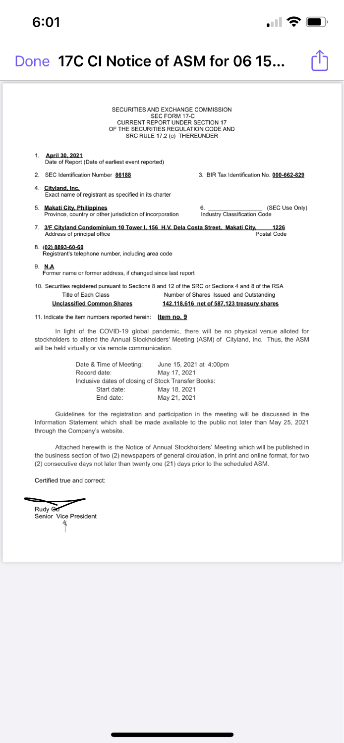#### SECURITIES AND EXCHANGE COMMISSION SEC FORM 17-C **CURRENT REPORT UNDER SECTION 17** OF THE SECURITIES REGULATION CODE AND SRC RULE 17.2 (c) THEREUNDER

#### 1. April 30, 2021

Date of Report (Date of earliest event reported)

- 2. SEC Identification Number 86188
- 4. Cityland, Inc. Exact name of registrant as specified in its charter
- 5. Makati City, Philippines Province, country or other jurisdiction of incorporation
- 7. 3/F Cityland Condominium 10 Tower I, 156 H.V. Dela Costa Street, Makati City, 1226 Address of principal office Postal Code

#### 8. (02) 8893-60-60

Registrant's telephone number, including area code

### 9. N.A

Former name or former address, if changed since last report

10. Securities registered pursuant to Sections 8 and 12 of the SRC or Sections 4 and 8 of the RSA

| Title of Each Class               | Number of Shares Issued and Outstanding           |
|-----------------------------------|---------------------------------------------------|
| <b>Unclassified Common Shares</b> | <u>142,118,616 net of 587,123 treasury shares</u> |

11. Indicate the item numbers reported herein: **Item no. 9** 

In light of the COVID-19 global pandemic, there will be no physical venue alloted for stockholders to attend the Annual Stockholders' Meeting (ASM) of Cityland, Inc. Thus, the ASM will be held virtually or via remote communication.

> Date & Time of Meeting: June 15, 2021 at 4:00pm May 17, 2021 Record date: Inclusive dates of closing of Stock Transfer Books:

3. BIR Tax Identification No. 000-662-829

(SEC Use Only) 6. **Industry Classification Code** 

| Start date: | May 18, 2021 |
|-------------|--------------|
| End date:   | May 21, 2021 |

Guidelines for the registration and participation in the meeting will be discussed in the Information Statement which shall be made available to the public not later than May 25, 2021 through the Company's website.

Attached herewith is the Notice of Annual Stockholders' Meeting which will be published in the business section of two (2) newspapers of general circulation, in print and online format, for two (2) consecutive days not later than twenty one (21) days prior to the scheduled ASM.

Certified true and correct:

Rudy Go Senior Vice President